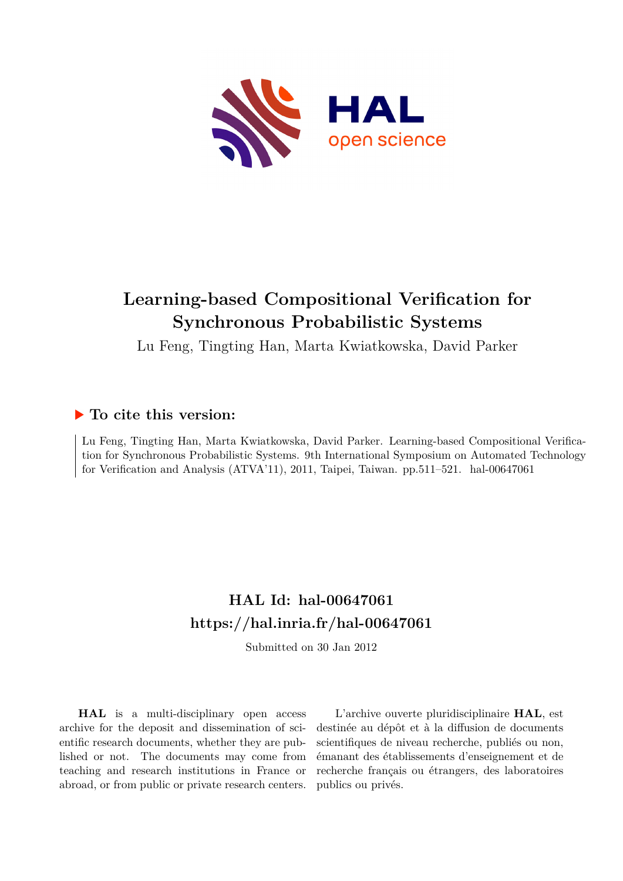

# **Learning-based Compositional Verification for Synchronous Probabilistic Systems**

Lu Feng, Tingting Han, Marta Kwiatkowska, David Parker

## **To cite this version:**

Lu Feng, Tingting Han, Marta Kwiatkowska, David Parker. Learning-based Compositional Verification for Synchronous Probabilistic Systems. 9th International Symposium on Automated Technology for Verification and Analysis (ATVA'11), 2011, Taipei, Taiwan. pp.511–521. hal-00647061

## **HAL Id: hal-00647061 <https://hal.inria.fr/hal-00647061>**

Submitted on 30 Jan 2012

**HAL** is a multi-disciplinary open access archive for the deposit and dissemination of scientific research documents, whether they are published or not. The documents may come from teaching and research institutions in France or abroad, or from public or private research centers.

L'archive ouverte pluridisciplinaire **HAL**, est destinée au dépôt et à la diffusion de documents scientifiques de niveau recherche, publiés ou non, émanant des établissements d'enseignement et de recherche français ou étrangers, des laboratoires publics ou privés.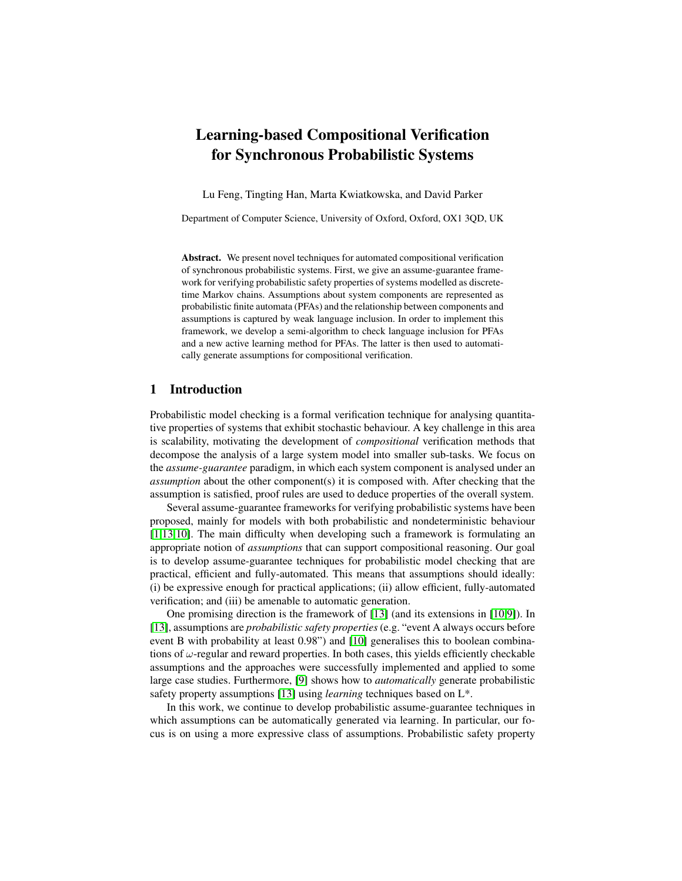### Learning-based Compositional Verification for Synchronous Probabilistic Systems

Lu Feng, Tingting Han, Marta Kwiatkowska, and David Parker

Department of Computer Science, University of Oxford, Oxford, OX1 3QD, UK

Abstract. We present novel techniques for automated compositional verification of synchronous probabilistic systems. First, we give an assume-guarantee framework for verifying probabilistic safety properties of systems modelled as discretetime Markov chains. Assumptions about system components are represented as probabilistic finite automata (PFAs) and the relationship between components and assumptions is captured by weak language inclusion. In order to implement this framework, we develop a semi-algorithm to check language inclusion for PFAs and a new active learning method for PFAs. The latter is then used to automatically generate assumptions for compositional verification.

#### 1 Introduction

Probabilistic model checking is a formal verification technique for analysing quantitative properties of systems that exhibit stochastic behaviour. A key challenge in this area is scalability, motivating the development of *compositional* verification methods that decompose the analysis of a large system model into smaller sub-tasks. We focus on the *assume-guarantee* paradigm, in which each system component is analysed under an *assumption* about the other component(s) it is composed with. After checking that the assumption is satisfied, proof rules are used to deduce properties of the overall system.

Several assume-guarantee frameworks for verifying probabilistic systems have been proposed, mainly for models with both probabilistic and nondeterministic behaviour [1,13,10]. The main difficulty when developing such a framework is formulating an appropriate notion of *assumptions* that can support compositional reasoning. Our goal is to develop assume-guarantee techniques for probabilistic model checking that are practical, efficient and fully-automated. This means that assumptions should ideally: (i) be expressive enough for practical applications; (ii) allow efficient, fully-automated verification; and (iii) be amenable to automatic generation.

One promising direction is the framework of [13] (and its extensions in [10,9]). In [13], assumptions are *probabilistic safety properties* (e.g. "event A always occurs before event B with probability at least 0.98") and [10] generalises this to boolean combinations of  $\omega$ -regular and reward properties. In both cases, this yields efficiently checkable assumptions and the approaches were successfully implemented and applied to some large case studies. Furthermore, [9] shows how to *automatically* generate probabilistic safety property assumptions [13] using *learning* techniques based on L\*.

In this work, we continue to develop probabilistic assume-guarantee techniques in which assumptions can be automatically generated via learning. In particular, our focus is on using a more expressive class of assumptions. Probabilistic safety property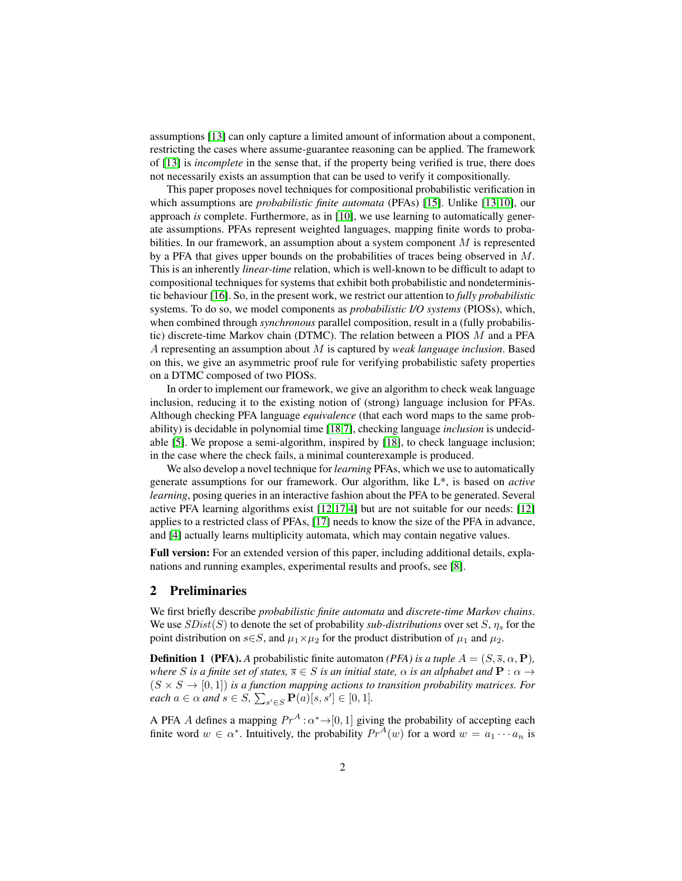assumptions [13] can only capture a limited amount of information about a component, restricting the cases where assume-guarantee reasoning can be applied. The framework of [13] is *incomplete* in the sense that, if the property being verified is true, there does not necessarily exists an assumption that can be used to verify it compositionally.

This paper proposes novel techniques for compositional probabilistic verification in which assumptions are *probabilistic finite automata* (PFAs) [15]. Unlike [13,10], our approach *is* complete. Furthermore, as in [10], we use learning to automatically generate assumptions. PFAs represent weighted languages, mapping finite words to probabilities. In our framework, an assumption about a system component  $M$  is represented by a PFA that gives upper bounds on the probabilities of traces being observed in M. This is an inherently *linear-time* relation, which is well-known to be difficult to adapt to compositional techniques for systems that exhibit both probabilistic and nondeterministic behaviour [16]. So, in the present work, we restrict our attention to *fully probabilistic* systems. To do so, we model components as *probabilistic I/O systems* (PIOSs), which, when combined through *synchronous* parallel composition, result in a (fully probabilistic) discrete-time Markov chain (DTMC). The relation between a PIOS M and a PFA A representing an assumption about M is captured by *weak language inclusion*. Based on this, we give an asymmetric proof rule for verifying probabilistic safety properties on a DTMC composed of two PIOSs.

In order to implement our framework, we give an algorithm to check weak language inclusion, reducing it to the existing notion of (strong) language inclusion for PFAs. Although checking PFA language *equivalence* (that each word maps to the same probability) is decidable in polynomial time [18,7], checking language *inclusion* is undecidable [5]. We propose a semi-algorithm, inspired by [18], to check language inclusion; in the case where the check fails, a minimal counterexample is produced.

We also develop a novel technique for *learning* PFAs, which we use to automatically generate assumptions for our framework. Our algorithm, like L\*, is based on *active learning*, posing queries in an interactive fashion about the PFA to be generated. Several active PFA learning algorithms exist [12,17,4] but are not suitable for our needs: [12] applies to a restricted class of PFAs, [17] needs to know the size of the PFA in advance, and [4] actually learns multiplicity automata, which may contain negative values.

Full version: For an extended version of this paper, including additional details, explanations and running examples, experimental results and proofs, see [8].

#### 2 Preliminaries

We first briefly describe *probabilistic finite automata* and *discrete-time Markov chains*. We use  $SDist(S)$  to denote the set of probability *sub-distributions* over set S,  $\eta_s$  for the point distribution on  $s \in S$ , and  $\mu_1 \times \mu_2$  for the product distribution of  $\mu_1$  and  $\mu_2$ .

**Definition 1** (PFA). *A* probabilistic finite automaton *(PFA) is a tuple*  $A = (S, \overline{s}, \alpha, P)$ *, where* S *is a finite set of states,*  $\overline{s} \in S$  *is an initial state,*  $\alpha$  *is an alphabet and*  $P : \alpha \rightarrow$  $(S \times S \rightarrow [0, 1])$  *is a function mapping actions to transition probability matrices. For*  $\text{each } a \in \alpha \text{ and } s \in S, \sum_{s' \in S} \mathbf{P}(a)[s, s'] \in [0, 1].$ 

A PFA A defines a mapping  $Pr^A: \alpha^* \rightarrow [0, 1]$  giving the probability of accepting each finite word  $w \in \alpha^*$ . Intuitively, the probability  $Pr^A(w)$  for a word  $w = a_1 \cdots a_n$  is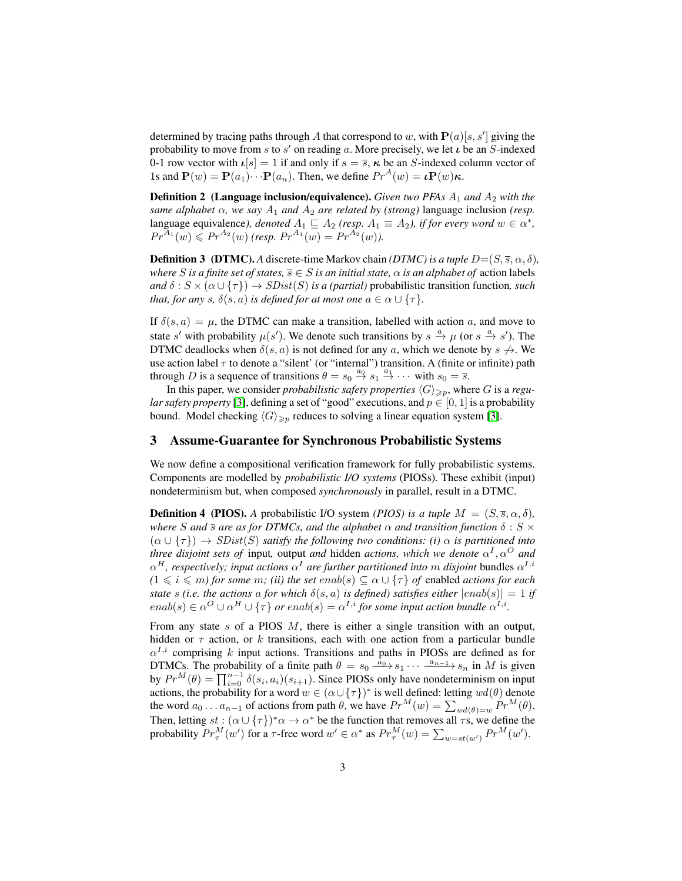determined by tracing paths through A that correspond to w, with  $P(a)[s, s']$  giving the probability to move from s to s' on reading a. More precisely, we let  $\iota$  be an S-indexed 0-1 row vector with  $\iota[s] = 1$  if and only if  $s = \overline{s}$ ,  $\kappa$  be an S-indexed column vector of 1s and  $P(w) = P(a_1) \cdots P(a_n)$ . Then, we define  $Pr^A(w) = \iota P(w) \kappa$ .

**Definition 2** (Language inclusion/equivalence). *Given two PFAs A<sub>1</sub> and A<sub>2</sub> with the same alphabet*  $\alpha$ *, we say*  $A_1$  *and*  $A_2$  *are related by (strong)* language inclusion *(resp.* language equivalence), denoted  $A_1 \sqsubseteq A_2$  (resp.  $A_1 \equiv A_2$ ), if for every word  $w \in \alpha^*$ ,  $Pr^{A_1}(w) \leqslant Pr^{A_2}(w)$  (resp.  $Pr^{A_1}(w) = Pr^{A_2}(w)$ ).

**Definition 3** (DTMC). A discrete-time Markov chain *(DTMC) is a tuple*  $D=(S, \overline{s}, \alpha, \delta)$ *, where* S *is a finite set of states,*  $\overline{s} \in S$  *is an initial state,*  $\alpha$  *is an alphabet of* action labels *and*  $\delta$  :  $S \times (\alpha \cup {\tau}) \rightarrow SDist(S)$  *is a (partial)* probabilistic transition function, such *that, for any s,*  $\delta(s, a)$  *is defined for at most one*  $a \in \alpha \cup \{\tau\}$ *.* 

If  $\delta(s, a) = \mu$ , the DTMC can make a transition, labelled with action a, and move to state s' with probability  $\mu(s')$ . We denote such transitions by  $s \stackrel{a}{\to} \mu$  (or  $s \stackrel{a}{\to} s'$ ). The DTMC deadlocks when  $\delta(s, a)$  is not defined for any a, which we denote by  $s \nrightarrow$ . We use action label  $\tau$  to denote a "silent' (or "internal") transition. A (finite or infinite) path through D is a sequence of transitions  $\theta = s_0 \stackrel{a_0}{\rightarrow} s_1 \stackrel{a_1}{\rightarrow} \cdots$  with  $s_0 = \overline{s}$ .

In this paper, we consider *probabilistic safety properties*  $\langle G \rangle_{\geq p}$ , where G is a *regular safety property* [3], defining a set of "good" executions, and  $p \in [0, 1]$  is a probability bound. Model checking  $\langle G \rangle_{\geq p}$  reduces to solving a linear equation system [3].

#### 3 Assume-Guarantee for Synchronous Probabilistic Systems

We now define a compositional verification framework for fully probabilistic systems. Components are modelled by *probabilistic I/O systems* (PIOSs). These exhibit (input) nondeterminism but, when composed *synchronously* in parallel, result in a DTMC.

**Definition 4 (PIOS).** A probabilistic I/O system *(PIOS) is a tuple*  $M = (S, \overline{s}, \alpha, \delta)$ , *where* S and  $\overline{s}$  *are as for DTMCs, and the alphabet*  $\alpha$  *and transition function*  $\delta$  :  $S \times$  $(\alpha \cup {\tau}) \rightarrow SDist(S)$  *satisfy the following two conditions: (i)*  $\alpha$  *is partitioned into three disjoint sets of input, output and hidden actions, which we denote*  $\alpha^I, \alpha^O$  *and*  $\alpha^H$ , respectively; input actions  $\alpha^I$  are further partitioned into  $m$  disjoint bundles  $\alpha^{I,i}$  $(1 \le i \le m)$  for some m; (ii) the set  $enab(s) \subseteq \alpha \cup {\tau}$  of enabled *actions for each state* s (*i.e. the actions a for which*  $\delta(s, a)$  *is defined) satisfies either*  $|enab(s)| = 1$  *if*  $enab(s) \in \alpha^O \cup \alpha^H \cup {\tau}$  *or*  $enab(s) = \alpha^{I,i}$  *for some input action bundle*  $\alpha^{I,i}$ *.* 

From any state  $s$  of a PIOS  $M$ , there is either a single transition with an output, hidden or  $\tau$  action, or k transitions, each with one action from a particular bundle  $\alpha^{I,i}$  comprising k input actions. Transitions and paths in PIOSs are defined as for DTMCs. The probability of a finite path  $\theta = s_0 \frac{\tilde{a}_0}{\sqrt{a_0}} s_1 \cdots \frac{\tilde{a}_{n-1}}{s_n} s_n$  in M is given by  $Pr^M(\theta) = \prod_{i=0}^{n-1} \delta(s_i, a_i)(s_{i+1})$ . Since PIOSs only have nondeterminism on input actions, the probability for a word  $w \in (\alpha \cup \{\tau\})^*$  is well defined: letting  $wd(\theta)$  denote the word  $a_0 \dots a_{n-1}$  of actions from path  $\theta$ , we have  $Pr^M(w) = \sum_{w d(\theta) = w} Pr^M(\theta)$ . Then, letting  $st : (\alpha \cup \{\tau\})^* \alpha \to \alpha^*$  be the function that removes all  $\tau s$ , we define the probability  $Pr_{\tau}^{M}(w')$  for a  $\tau$ -free word  $w' \in \alpha^*$  as  $Pr_{\tau}^{M}(w) = \sum_{w=st(w')} Pr^{M}(w').$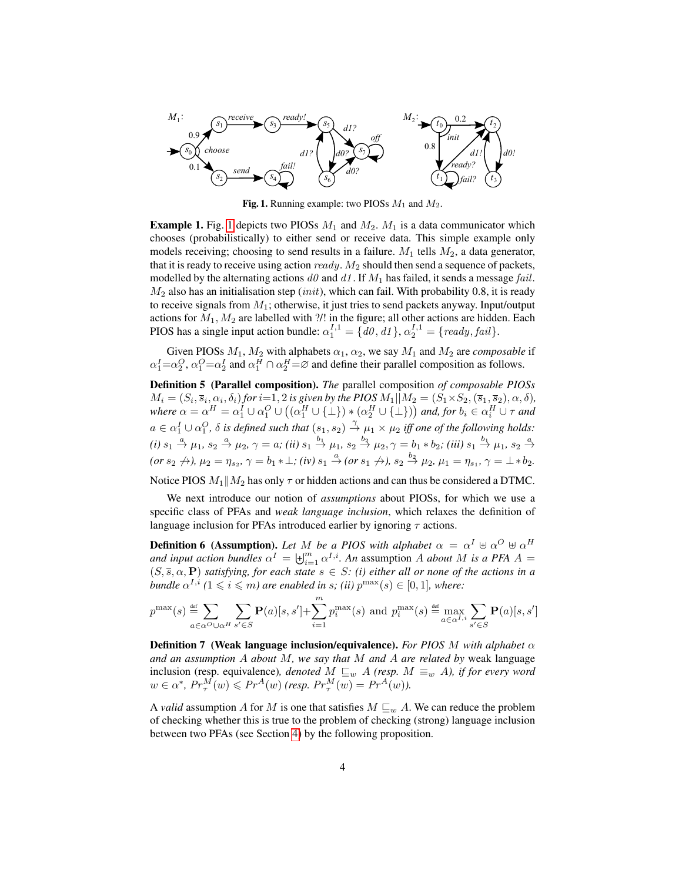

Fig. 1. Running example: two PIOSs  $M_1$  and  $M_2$ .

**Example 1.** Fig. 1 depicts two PIOSs  $M_1$  and  $M_2$ .  $M_1$  is a data communicator which chooses (probabilistically) to either send or receive data. This simple example only models receiving; choosing to send results in a failure.  $M_1$  tells  $M_2$ , a data generator, that it is ready to receive using action  $ready. M<sub>2</sub>$  should then send a sequence of packets, modelled by the alternating actions  $d\theta$  and  $d\theta$ . If  $M_1$  has failed, it sends a message *fail*.  $M_2$  also has an initialisation step (*init*), which can fail. With probability 0.8, it is ready to receive signals from  $M_1$ ; otherwise, it just tries to send packets anyway. Input/output actions for  $M_1, M_2$  are labelled with ?/! in the figure; all other actions are hidden. Each PIOS has a single input action bundle:  $\alpha_1^{I,1} = \{ d\theta, d\theta, \alpha_2^{I,1} = \{ \text{ready}, \text{fail} \}.$ 

Given PIOSs  $M_1$ ,  $M_2$  with alphabets  $\alpha_1$ ,  $\alpha_2$ , we say  $M_1$  and  $M_2$  are *composable* if  $\alpha_1^I = \alpha_2^O$ ,  $\alpha_1^O = \alpha_2^I$  and  $\alpha_1^H \cap \alpha_2^H = \emptyset$  and define their parallel composition as follows.

Definition 5 (Parallel composition). *The* parallel composition *of composable PIOSs*  $M_i = (S_i, \overline{s}_i, \alpha_i, \delta_i)$  for  $i=1, 2$  is given by the PIOS  $M_1||M_2 = (S_1 \times S_2, (\overline{s}_1, \overline{s}_2), \alpha, \delta)$ *, where*  $\alpha = \alpha^H = \alpha_1^I \cup \alpha_1^O \cup ((\alpha_1^H \cup \{\bot\}) * (\alpha_2^H \cup \{\bot\}))$  *and, for*  $b_i \in \alpha_i^H \cup \tau$  *and*  $a \in \alpha_1^I \cup \alpha_1^O$ ,  $\delta$  *is defined such that*  $(s_1, s_2) \stackrel{\gamma}{\to} \mu_1 \times \mu_2$  *iff one of the following holds:*  $(i)$   $s_1 \stackrel{a}{\rightarrow} \mu_1$ ,  $s_2 \stackrel{a}{\rightarrow} \mu_2$ ,  $\gamma = a$ ; (ii)  $s_1 \stackrel{b_1}{\rightarrow} \mu_1$ ,  $s_2 \stackrel{b_2}{\rightarrow} \mu_2$ ,  $\gamma = b_1 * b_2$ ; (iii)  $s_1 \stackrel{b_1}{\rightarrow} \mu_1$ ,  $s_2 \stackrel{a}{\rightarrow}$  $($ or  $s_2 \nrightarrow$ ),  $\mu_2 = \eta_{s_2}, \gamma = b_1 * \bot$ ; (iv)  $s_1 \stackrel{a}{\rightarrow}$  (or  $s_1 \nrightarrow$ ),  $s_2 \stackrel{b_2}{\rightarrow} \mu_2, \mu_1 = \eta_{s_1}, \gamma = \bot * b_2$ .

Notice PIOS  $M_1||M_2$  has only  $\tau$  or hidden actions and can thus be considered a DTMC.

We next introduce our notion of *assumptions* about PIOSs, for which we use a specific class of PFAs and *weak language inclusion*, which relaxes the definition of language inclusion for PFAs introduced earlier by ignoring  $\tau$  actions.

**Definition 6** (Assumption). Let M be a PIOS with alphabet  $\alpha = \alpha^I \oplus \alpha^O \oplus \alpha^H$ *and input action bundles*  $\alpha^I = \biguplus_{i=1}^m \alpha^{I,i}$ . An assumption A *about* M *is a PFA*  $A =$  $(S, \overline{s}, \alpha, P)$  *satisfying, for each state*  $s \in S$ *: (i) either all or none of the actions in a bundle*  $\alpha^{I,i}$  ( $1 \leq i \leq m$ ) are enabled in s; (ii)  $p^{\max}(s) \in [0,1]$ , where:

$$
p^{\max}(s) \stackrel{\text{def}}{=} \sum_{a \in \alpha^{O} \cup \alpha^{H}} \sum_{s' \in S} \mathbf{P}(a)[s, s'] + \sum_{i=1}^{m} p_i^{\max}(s) \text{ and } p_i^{\max}(s) \stackrel{\text{def}}{=} \max_{a \in \alpha^{I,i}} \sum_{s' \in S} \mathbf{P}(a)[s, s']
$$

Definition 7 (Weak language inclusion/equivalence). *For PIOS* M *with alphabet* α *and an assumption* A *about* M*, we say that* M *and* A *are related by* weak language inclusion (resp. equivalence), denoted  $M \sqsubseteq_w A$  *(resp.*  $M \equiv_w A$ *), if for every word*  $w \in \alpha^*$ ,  $Pr_{\tau}^M(w) \leqslant Pr^A(w)$  (resp.  $Pr_{\tau}^M(w) = Pr^A(w)$ ).

A *valid* assumption A for M is one that satisfies  $M \sqsubseteq_w A$ . We can reduce the problem of checking whether this is true to the problem of checking (strong) language inclusion between two PFAs (see Section 4) by the following proposition.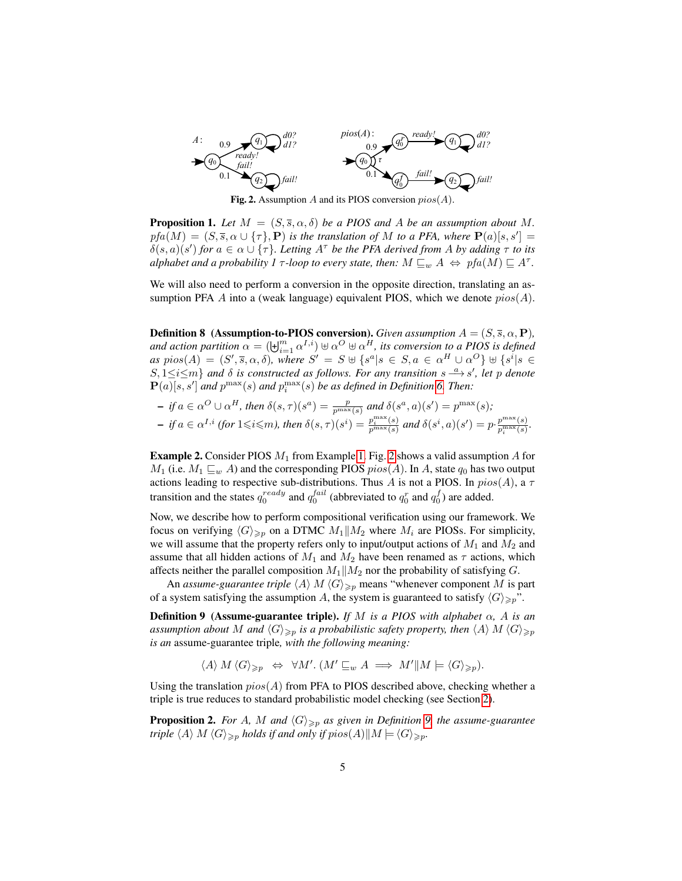

Fig. 2. Assumption A and its PIOS conversion  $pios($ 

**Proposition 1.** Let  $M = (S, \overline{s}, \alpha, \delta)$  be a PIOS and A be an assumption about M.  $pfa(M) = (S, \overline{s}, \alpha \cup {\tau}, P)$  *is the translation of* M *to a PFA, where*  $P(a)[s, s'] =$  $\delta(s, a)(s')$  *for*  $a \in \alpha \cup \{\tau\}$ *. Letting*  $A^{\tau}$  *be the PFA derived from* A *by adding*  $\tau$  *to its alphabet and a probability 1*  $\tau$ *-loop to every state, then:*  $M \sqsubseteq_w A \Leftrightarrow pfa(M) \sqsubseteq A^{\tau}$ .

We will also need to perform a conversion in the opposite direction, translating an assumption PFA A into a (weak language) equivalent PIOS, which we denote  $pios(A)$ .

**Definition 8** (Assumption-to-PIOS conversion). *Given assumption*  $A = (S, \overline{s}, \alpha, P)$ *, and action partition*  $\alpha = (\biguplus_{i=1}^{m} \alpha^{I,i}) \uplus \alpha^{O} \uplus \alpha^{H}$ , *its conversion to a PIOS is defined*  $as\ pios(A) = (S', \overline{s}, \alpha, \delta)$ *, where*  $S' = S \cup \{s^a | s \in S, a \in \alpha^H \cup \alpha^O\} \cup \{s^i | s \in S, a \in \alpha^H \cup \alpha^O\}$  $S, 1 \leq i \leq m$ } and  $\delta$  *is constructed as follows. For any transition*  $s \xrightarrow{a} s'$ , let p denote  $\mathbf{P}(a)[s, s']$  and  $p^{\max}(s)$  and  $p^{\max}_i(s)$  be as defined in Definition 6. Then:

$$
- if a \in \alpha^{O} \cup \alpha^{H}, then \delta(s, \tau)(s^{a}) = \frac{p}{p^{\max}(s)} and \delta(s^{a}, a)(s') = p^{\max}(s);
$$
  

$$
- if a \in \alpha^{I,i} \text{ (for } 1 \leq i \leq m\text{), then } \delta(s, \tau)(s^{i}) = \frac{p^{\max}_{i}(s)}{p^{\max}_{i}(s)} and \delta(s^{i}, a)(s') = p \cdot \frac{p^{\max}(s)}{p^{\max}_{i}(s)}.
$$

**Example 2.** Consider PIOS  $M_1$  from Example 1. Fig. 2 shows a valid assumption A for  $M_1$  (i.e.  $M_1 \sqsubseteq_w A$ ) and the corresponding PIOS  $pios(A)$ . In A, state  $q_0$  has two output actions leading to respective sub-distributions. Thus A is not a PIOS. In  $pios(A)$ , a  $\tau$ transition and the states  $q_0^{ready}$  and  $q_0^{fail}$  (abbreviated to  $q_0^r$  and  $q_0^f$ ) are added.

Now, we describe how to perform compositional verification using our framework. We focus on verifying  $\langle G \rangle_{\geq p}$  on a DTMC  $M_1||M_2$  where  $M_i$  are PIOSs. For simplicity, we will assume that the property refers only to input/output actions of  $M_1$  and  $M_2$  and assume that all hidden actions of  $M_1$  and  $M_2$  have been renamed as  $\tau$  actions, which affects neither the parallel composition  $M_1||M_2$  nor the probability of satisfying G.

An *assume-guarantee triple*  $\langle A \rangle M \langle G \rangle_{\geq p}$  means "whenever component M is part of a system satisfying the assumption A, the system is guaranteed to satisfy  $\langle G \rangle_{\geq p}$ ".

**Definition 9** (Assume-guarantee triple). *If*  $M$  *is a PIOS with alphabet*  $\alpha$ ,  $A$  *is an assumption about* M *and*  $\langle G \rangle_{\geq p}$  *is a probabilistic safety property, then*  $\langle A \rangle M \langle G \rangle_{\geq p}$ *is an* assume-guarantee triple*, with the following meaning:*

$$
\langle A \rangle M \langle G \rangle_{\geq p} \Leftrightarrow \forall M'. \left( M' \sqsubseteq_w A \implies M' \| M \models \langle G \rangle_{\geq p} \right).
$$

Using the translation  $pios(A)$  from PFA to PIOS described above, checking whether a triple is true reduces to standard probabilistic model checking (see Section 2).

**Proposition 2.** *For* A, M *and*  $\langle G \rangle_{\geq p}$  *as given in Definition* 9, *the assume-guarantee triple*  $\langle A \rangle M \langle G \rangle_{\geq p}$  *holds if and only if*  $pios(A) \parallel M \models \langle G \rangle_{\geq p}$ *.*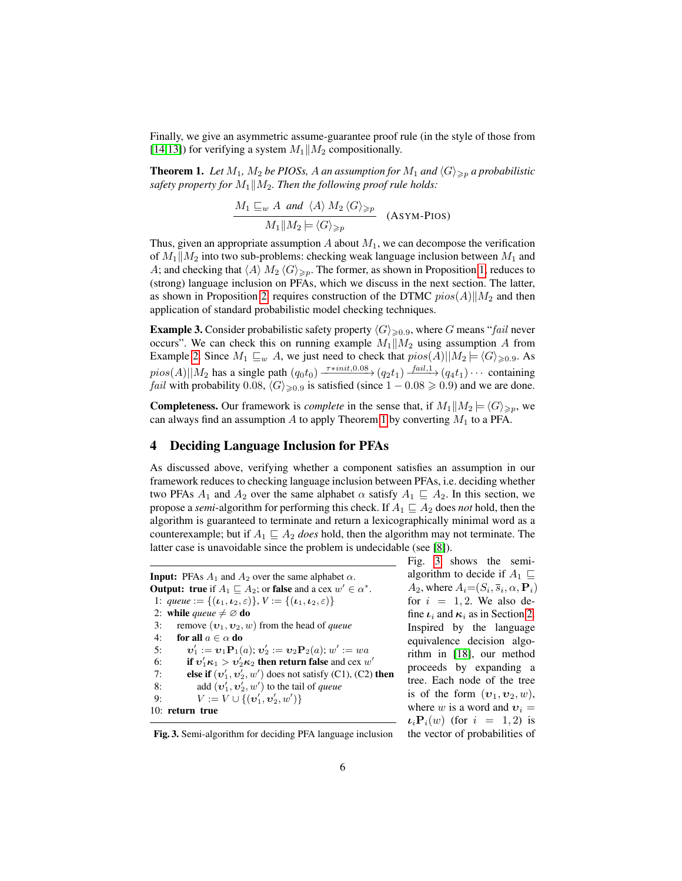Finally, we give an asymmetric assume-guarantee proof rule (in the style of those from [14,13]) for verifying a system  $M_1||M_2$  compositionally.

**Theorem 1.** Let  $M_1$ ,  $M_2$  be PIOSs, A an assumption for  $M_1$  and  $\langle G \rangle_{\geq p}$  a probabilistic *safety property for*  $M_1||M_2$ *. Then the following proof rule holds:* 

$$
\frac{M_1 \sqsubseteq_w A \text{ and } \langle A \rangle M_2 \langle G \rangle_{\geq p}}{M_1 \| M_2 \models \langle G \rangle_{\geq p}} \quad \text{(ASYM-PIOS)}
$$

Thus, given an appropriate assumption  $A$  about  $M_1$ , we can decompose the verification of  $M_1||M_2$  into two sub-problems: checking weak language inclusion between  $M_1$  and A; and checking that  $\langle A \rangle M_2 \langle G \rangle_{\geq p}$ . The former, as shown in Proposition 1, reduces to (strong) language inclusion on PFAs, which we discuss in the next section. The latter, as shown in Proposition 2, requires construction of the DTMC  $pios(A)||M_2$  and then application of standard probabilistic model checking techniques.

**Example 3.** Consider probabilistic safety property  $\langle G \rangle_{\geq 0.9}$ , where G means "fail never occurs". We can check this on running example  $M_1||M_2$  using assumption A from Example 2. Since  $M_1 \sqsubseteq_w A$ , we just need to check that  $pios(A)||M_2 \models \langle G \rangle_{\geq 0.9}$ . As  $pios(A)||M_2$  has a single path  $(q_0t_0) \xrightarrow{\tau * init, 0.08} (q_2t_1) \xrightarrow{fail, 1} (q_4t_1) \cdots$  containing *fail* with probability 0.08,  $\langle G \rangle_{\geq 0.9}$  is satisfied (since  $1 - 0.08 \geq 0.9$ ) and we are done.

**Completeness.** Our framework is *complete* in the sense that, if  $M_1||M_2| \leq \langle G \rangle_{\geq p}$ , we can always find an assumption A to apply Theorem 1 by converting  $M_1$  to a PFA.

#### 4 Deciding Language Inclusion for PFAs

As discussed above, verifying whether a component satisfies an assumption in our framework reduces to checking language inclusion between PFAs, i.e. deciding whether two PFAs  $A_1$  and  $A_2$  over the same alphabet  $\alpha$  satisfy  $A_1 \subseteq A_2$ . In this section, we propose a *semi*-algorithm for performing this check. If  $A_1 \sqsubseteq A_2$  does *not* hold, then the algorithm is guaranteed to terminate and return a lexicographically minimal word as a counterexample; but if  $A_1 \sqsubseteq A_2$  *does* hold, then the algorithm may not terminate. The latter case is unavoidable since the problem is undecidable (see [8]).

**Input:** PFAs  $A_1$  and  $A_2$  over the same alphabet  $\alpha$ . **Output:** true if  $A_1 \sqsubseteq A_2$ ; or false and a cex  $w' \in \alpha^*$ . 1: *queue* :=  $\{(\iota_1, \iota_2, \varepsilon)\}, V := \{(\iota_1, \iota_2, \varepsilon)\}\$ 2: while *queue*  $\neq \emptyset$  do 3: remove  $(v_1, v_2, w)$  from the head of *queue* 4: for all  $a \in \alpha$  do 5:  $v'_1 := v_1 P_1(a); v'_2 := v_2 P_2(a); w' := wa$ 6: **if**  $v'_1 \kappa_1 > v'_2 \kappa_2$  **then return false** and cex  $w'$ 7: else if  $(v'_1, v'_2, w')$  does not satisfy (C1), (C2) then 8: add  $(\mathbf{v}'_1, \mathbf{v}'_2, \mathbf{w}')$  to the tail of *queue* 9:  $V := V \cup \{(\mathbf{v}'_1, \mathbf{v}'_2, w')\}$ 10: return true

Fig. 3 shows the semialgorithm to decide if  $A_1 \sqsubseteq$  $A_2$ , where  $A_i = (S_i, \overline{s}_i, \alpha, \mathbf{P}_i)$ for  $i = 1, 2$ . We also define  $\iota_i$  and  $\kappa_i$  as in Section 2. Inspired by the language equivalence decision algorithm in [18], our method proceeds by expanding a tree. Each node of the tree is of the form  $(v_1, v_2, w)$ , where w is a word and  $v_i =$  $\iota_i \mathbf{P}_i(w)$  (for  $i = 1, 2$ ) is the vector of probabilities of

Fig. 3. Semi-algorithm for deciding PFA language inclusion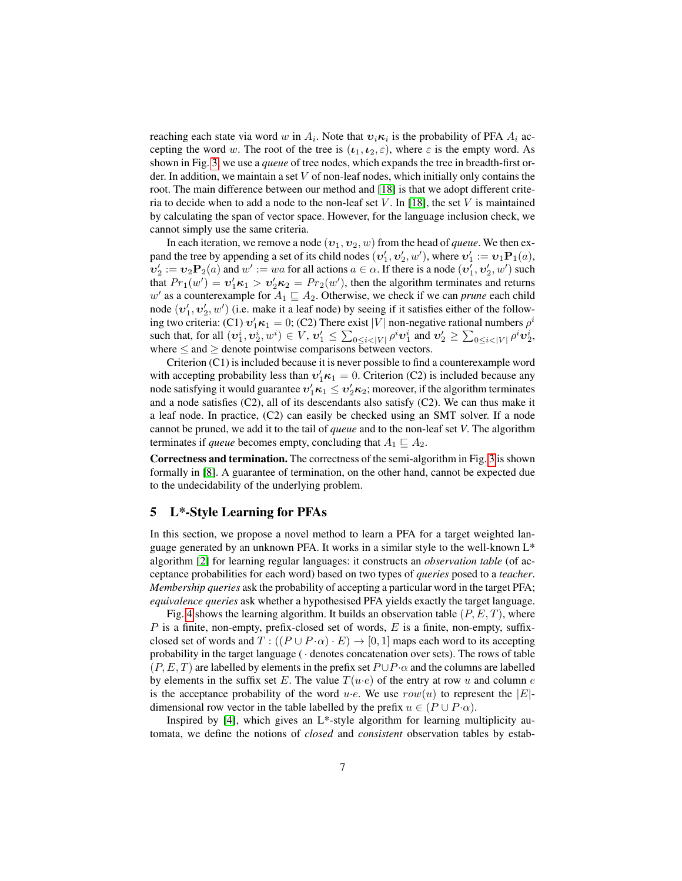reaching each state via word w in  $A_i$ . Note that  $v_i \kappa_i$  is the probability of PFA  $A_i$  accepting the word w. The root of the tree is  $(\iota_1, \iota_2, \varepsilon)$ , where  $\varepsilon$  is the empty word. As shown in Fig. 3, we use a *queue* of tree nodes, which expands the tree in breadth-first order. In addition, we maintain a set  $V$  of non-leaf nodes, which initially only contains the root. The main difference between our method and [18] is that we adopt different criteria to decide when to add a node to the non-leaf set  $V$ . In [18], the set  $V$  is maintained by calculating the span of vector space. However, for the language inclusion check, we cannot simply use the same criteria.

In each iteration, we remove a node  $(v_1, v_2, w)$  from the head of *queue*. We then expand the tree by appending a set of its child nodes  $(\bm{v}'_1, \bm{v}'_2, w')$ , where  $\bm{v}'_1 := \bm{v}_1 \mathbf{P}_1(a)$ ,  $v_2' := v_2 \mathbf{P}_2(a)$  and  $w' := wa$  for all actions  $a \in \alpha$ . If there is a node  $(v_1', v_2', w')$  such that  $Pr_1(w') = \mathbf{v}_1' \kappa_1 > \mathbf{v}_2' \kappa_2 = Pr_2(w')$ , then the algorithm terminates and returns  $w'$  as a counterexample for  $A_1 \sqsubseteq A_2$ . Otherwise, we check if we can *prune* each child node  $(\boldsymbol{v}'_1, \boldsymbol{v}'_2, w')$  (i.e. make it a leaf node) by seeing if it satisfies either of the following two criteria: (C1)  $v'_1 \kappa_1 = 0$ ; (C2) There exist |V| non-negative rational numbers  $\rho^i$ such that, for all  $(\boldsymbol{v}_1^i, \boldsymbol{v}_2^i, w^i) \in V$ ,  $\boldsymbol{v}_1^i \leq \sum_{0 \leq i < |V|} \rho^i \boldsymbol{v}_1^i$  and  $\boldsymbol{v}_2^i \geq \sum_{0 \leq i < |V|} \rho^i \boldsymbol{v}_2^i$ , where  $\leq$  and  $\geq$  denote pointwise comparisons between vectors.

Criterion (C1) is included because it is never possible to find a counterexample word with accepting probability less than  $v'_1 \kappa_1 = 0$ . Criterion (C2) is included because any node satisfying it would guarantee  $v'_1 \kappa_1 \le v'_2 \kappa_2$ ; moreover, if the algorithm terminates and a node satisfies (C2), all of its descendants also satisfy (C2). We can thus make it a leaf node. In practice, (C2) can easily be checked using an SMT solver. If a node cannot be pruned, we add it to the tail of *queue* and to the non-leaf set *V*. The algorithm terminates if *queue* becomes empty, concluding that  $A_1 \sqsubseteq A_2$ .

Correctness and termination. The correctness of the semi-algorithm in Fig. 3 is shown formally in [8]. A guarantee of termination, on the other hand, cannot be expected due to the undecidability of the underlying problem.

#### 5 L\*-Style Learning for PFAs

In this section, we propose a novel method to learn a PFA for a target weighted language generated by an unknown PFA. It works in a similar style to the well-known  $L^*$ algorithm [2] for learning regular languages: it constructs an *observation table* (of acceptance probabilities for each word) based on two types of *queries* posed to a *teacher*. *Membership queries* ask the probability of accepting a particular word in the target PFA; *equivalence queries* ask whether a hypothesised PFA yields exactly the target language.

Fig. 4 shows the learning algorithm. It builds an observation table  $(P, E, T)$ , where  $P$  is a finite, non-empty, prefix-closed set of words,  $E$  is a finite, non-empty, suffixclosed set of words and  $T : ((P \cup P \cdot \alpha) \cdot E) \rightarrow [0, 1]$  maps each word to its accepting probability in the target language ( · denotes concatenation over sets). The rows of table  $(P, E, T)$  are labelled by elements in the prefix set  $P \cup P \cdot \alpha$  and the columns are labelled by elements in the suffix set E. The value  $T(u \cdot e)$  of the entry at row u and column e is the acceptance probability of the word u·e. We use  $row(u)$  to represent the  $|E|$ dimensional row vector in the table labelled by the prefix  $u \in (P \cup P \cdot \alpha)$ .

Inspired by [4], which gives an L\*-style algorithm for learning multiplicity automata, we define the notions of *closed* and *consistent* observation tables by estab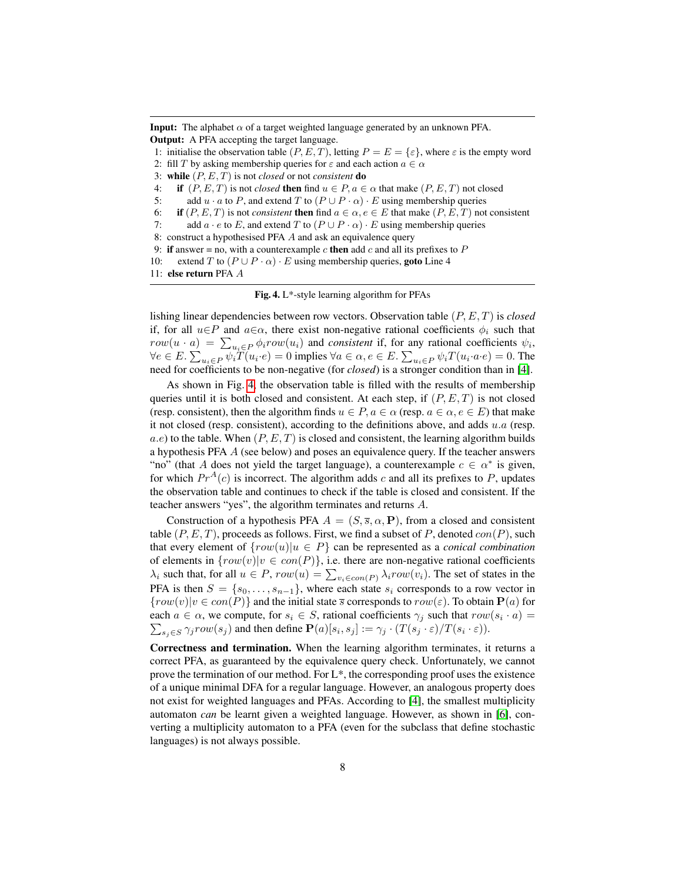**Input:** The alphabet  $\alpha$  of a target weighted language generated by an unknown PFA. Output: A PFA accepting the target language.

- 1: initialise the observation table  $(P, E, T)$ , letting  $P = E = \{\varepsilon\}$ , where  $\varepsilon$  is the empty word
- 2: fill T by asking membership queries for  $\varepsilon$  and each action  $a \in \alpha$
- 3: while (P, E, T) is not *closed* or not *consistent* do
- 4: **if**  $(P, E, T)$  is not *closed* then find  $u \in P$ ,  $a \in \alpha$  that make  $(P, E, T)$  not closed
- 5: add  $u \cdot a$  to P, and extend T to  $(P \cup P \cdot \alpha) \cdot E$  using membership queries
- 6: if  $(P, E, T)$  is not *consistent* then find  $a \in \alpha, e \in E$  that make  $(P, E, T)$  not consistent
- 7: add  $a \cdot e$  to E, and extend T to  $(P \cup P \cdot \alpha) \cdot E$  using membership queries
- 8: construct a hypothesised PFA A and ask an equivalence query
- 9: if answer = no, with a counterexample c then add c and all its prefixes to P
- 10: extend T to  $(P \cup P \cdot \alpha) \cdot E$  using membership queries, goto Line 4
- 11: else return PFA A

Fig. 4. L\*-style learning algorithm for PFAs

lishing linear dependencies between row vectors. Observation table (P, E, T) is *closed* if, for all  $u \in P$  and  $a \in \alpha$ , there exist non-negative rational coefficients  $\phi_i$  such that  $row(u \cdot a) = \sum_{u_i \in P} \phi_i row(u_i)$  and *consistent* if, for any rational coefficients  $\psi_i$ ,  $\forall e \in E$ .  $\sum_{u_i \in P} \psi_i T(u_i \cdot e) = 0$  implies  $\forall a \in \alpha, e \in E$ .  $\sum_{u_i \in P} \psi_i T(u_i \cdot e) = 0$ . The need for coefficients to be non-negative (for *closed*) is a stronger condition than in [4].

As shown in Fig. 4, the observation table is filled with the results of membership queries until it is both closed and consistent. At each step, if  $(P, E, T)$  is not closed (resp. consistent), then the algorithm finds  $u \in P$ ,  $a \in \alpha$  (resp.  $a \in \alpha$ ,  $e \in E$ ) that make it not closed (resp. consistent), according to the definitions above, and adds  $u.a$  (resp.  $a.e)$  to the table. When  $(P, E, T)$  is closed and consistent, the learning algorithm builds a hypothesis PFA A (see below) and poses an equivalence query. If the teacher answers "no" (that A does not yield the target language), a counterexample  $c \in \alpha^*$  is given, for which  $Pr^{A}(c)$  is incorrect. The algorithm adds c and all its prefixes to P, updates the observation table and continues to check if the table is closed and consistent. If the teacher answers "yes", the algorithm terminates and returns A.

Construction of a hypothesis PFA  $A = (S, \overline{s}, \alpha, P)$ , from a closed and consistent table  $(P, E, T)$ , proceeds as follows. First, we find a subset of P, denoted  $con(P)$ , such that every element of  $\{row(u)|u \in P\}$  can be represented as a *conical combination* of elements in  $\{row(v)|v \in con(P)\}$ , i.e. there are non-negative rational coefficients  $\lambda_i$  such that, for all  $u \in P$ ,  $row(u) = \sum_{v_i \in con(P)} \lambda_i row(v_i)$ . The set of states in the PFA is then  $S = \{s_0, \ldots, s_{n-1}\}\$ , where each state  $s_i$  corresponds to a row vector in  ${row(v)|v \in con(P)}$  and the initial state  $\overline{s}$  corresponds to  $row(\varepsilon)$ . To obtain  $P(a)$  for each  $a \in \alpha$ , we compute, for  $s_i \in S$ , rational coefficients  $\gamma_j$  such that  $row(s_i \cdot a) = \sum_{s_i \in S} \gamma_i row(s_i)$  and then define  $\mathbf{P}(a)[s_i, s_j] := \gamma_i \cdot (T(s_i \cdot \varepsilon)/T(s_i \cdot \varepsilon))$ .  $s_j \in S \gamma_j row(s_j)$  and then define  $\mathbf{P}(a)[s_i, s_j] := \gamma_j \cdot (T(s_j \cdot \varepsilon)/T(s_i \cdot \varepsilon)).$ 

Correctness and termination. When the learning algorithm terminates, it returns a correct PFA, as guaranteed by the equivalence query check. Unfortunately, we cannot prove the termination of our method. For  $L^*$ , the corresponding proof uses the existence of a unique minimal DFA for a regular language. However, an analogous property does not exist for weighted languages and PFAs. According to [4], the smallest multiplicity automaton *can* be learnt given a weighted language. However, as shown in [6], converting a multiplicity automaton to a PFA (even for the subclass that define stochastic languages) is not always possible.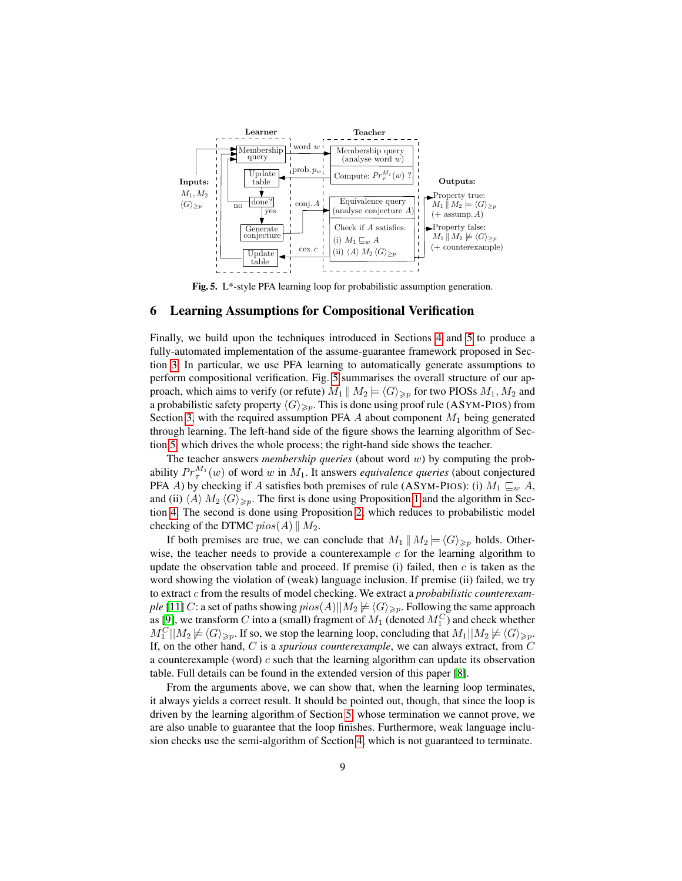

Fig. 5. L\*-style PFA learning loop for probabilistic assumption generation.

#### 6 Learning Assumptions for Compositional Verification

Finally, we build upon the techniques introduced in Sections 4 and 5 to produce a fully-automated implementation of the assume-guarantee framework proposed in Section 3. In particular, we use PFA learning to automatically generate assumptions to perform compositional verification. Fig. 5 summarises the overall structure of our approach, which aims to verify (or refute)  $M_1 \parallel M_2 \models \langle G \rangle_{\geq p}$  for two PIOSs  $M_1, M_2$  and a probabilistic safety property  $\langle G \rangle_{\geq p}$ . This is done using proof rule (ASYM-PIOS) from Section 3, with the required assumption PFA  $A$  about component  $M_1$  being generated through learning. The left-hand side of the figure shows the learning algorithm of Section 5, which drives the whole process; the right-hand side shows the teacher.

The teacher answers *membership queries* (about word w) by computing the probability  $Pr_{\tau}^{M_1}(w)$  of word w in  $M_1$ . It answers *equivalence queries* (about conjectured PFA A) by checking if A satisfies both premises of rule (ASYM-PIOS): (i)  $M_1 \sqsubseteq_w A$ , and (ii)  $\langle A \rangle M_2 \langle G \rangle_{\geq p}$ . The first is done using Proposition 1 and the algorithm in Section 4. The second is done using Proposition 2, which reduces to probabilistic model checking of the DTMC  $pios(A) \parallel M_2$ .

If both premises are true, we can conclude that  $M_1 \parallel M_2 \models \langle G \rangle_{\geq p}$  holds. Otherwise, the teacher needs to provide a counterexample  $c$  for the learning algorithm to update the observation table and proceed. If premise (i) failed, then  $c$  is taken as the word showing the violation of (weak) language inclusion. If premise (ii) failed, we try to extract c from the results of model checking. We extract a *probabilistic counterexample* [11] C: a set of paths showing  $pios(A)||M_2 \not\models \langle G \rangle_{\geq n}$ . Following the same approach as [9], we transform C into a (small) fragment of  $M_1$  (denoted  $M_1^C$ ) and check whether  $M_1^C||M_2 \not\models \langle G \rangle_{\geq p}$ . If so, we stop the learning loop, concluding that  $M_1||M_2 \not\models \langle G \rangle_{\geq p}$ . If, on the other hand, C is a *spurious counterexample*, we can always extract, from C a counterexample (word)  $c$  such that the learning algorithm can update its observation table. Full details can be found in the extended version of this paper [8].

From the arguments above, we can show that, when the learning loop terminates, it always yields a correct result. It should be pointed out, though, that since the loop is driven by the learning algorithm of Section 5, whose termination we cannot prove, we are also unable to guarantee that the loop finishes. Furthermore, weak language inclusion checks use the semi-algorithm of Section 4, which is not guaranteed to terminate.